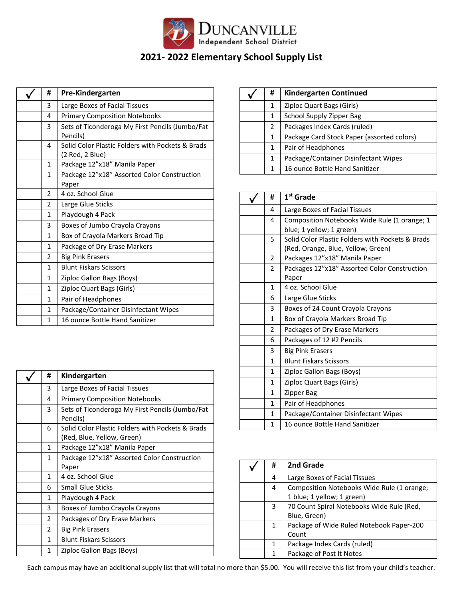

## **2021- 2022 Elementary School Supply List**

| #             | Pre-Kindergarten                                                    |
|---------------|---------------------------------------------------------------------|
| 3             | Large Boxes of Facial Tissues                                       |
| 4             | <b>Primary Composition Notebooks</b>                                |
| 3             | Sets of Ticonderoga My First Pencils (Jumbo/Fat<br>Pencils)         |
| 4             | Solid Color Plastic Folders with Pockets & Brads<br>(2 Red, 2 Blue) |
| 1             | Package 12"x18" Manila Paper                                        |
| 1             | Package 12"x18" Assorted Color Construction<br>Paper                |
| $\mathcal{P}$ | 4 oz. School Glue                                                   |
| 2             | Large Glue Sticks                                                   |
| 1             | Playdough 4 Pack                                                    |
| 3             | Boxes of Jumbo Crayola Crayons                                      |
| 1             | Box of Crayola Markers Broad Tip                                    |
| 1             | Package of Dry Erase Markers                                        |
| 2             | <b>Big Pink Erasers</b>                                             |
| 1             | <b>Blunt Fiskars Scissors</b>                                       |
| 1             | Ziploc Gallon Bags (Boys)                                           |
| 1             | Ziploc Quart Bags (Girls)                                           |
| 1             | Pair of Headphones                                                  |
| 1             | Package/Container Disinfectant Wipes                                |
| 1             | 16 ounce Bottle Hand Sanitizer                                      |

| # | Kindergarten                                                                   |
|---|--------------------------------------------------------------------------------|
| 3 | Large Boxes of Facial Tissues                                                  |
| 4 | <b>Primary Composition Notebooks</b>                                           |
| 3 | Sets of Ticonderoga My First Pencils (Jumbo/Fat<br>Pencils)                    |
| 6 | Solid Color Plastic Folders with Pockets & Brads<br>(Red, Blue, Yellow, Green) |
| 1 | Package 12"x18" Manila Paper                                                   |
| 1 | Package 12"x18" Assorted Color Construction                                    |
|   | Paper                                                                          |
| 1 | 4 oz. School Glue                                                              |
| 6 | <b>Small Glue Sticks</b>                                                       |
| 1 | Playdough 4 Pack                                                               |
| 3 | Boxes of Jumbo Crayola Crayons                                                 |
| 2 | Packages of Dry Erase Markers                                                  |
| 2 | <b>Big Pink Erasers</b>                                                        |
| 1 | <b>Blunt Fiskars Scissors</b>                                                  |
| 1 | Ziploc Gallon Bags (Boys)                                                      |

| # | <b>Kindergarten Continued</b>              |
|---|--------------------------------------------|
| 1 | Ziploc Quart Bags (Girls)                  |
| 1 | School Supply Zipper Bag                   |
| 2 | Packages Index Cards (ruled)               |
| 1 | Package Card Stock Paper (assorted colors) |
| 1 | Pair of Headphones                         |
| 1 | Package/Container Disinfectant Wipes       |
| 1 | 16 ounce Bottle Hand Sanitizer             |

| #            | $1st$ Grade                                      |
|--------------|--------------------------------------------------|
| 4            | Large Boxes of Facial Tissues                    |
| 4            | Composition Notebooks Wide Rule (1 orange; 1     |
|              | blue; 1 yellow; 1 green)                         |
| 5            | Solid Color Plastic Folders with Pockets & Brads |
|              | (Red, Orange, Blue, Yellow, Green)               |
| 2            | Packages 12"x18" Manila Paper                    |
| 2            | Packages 12"x18" Assorted Color Construction     |
|              | Paper                                            |
| 1            | 4 oz. School Glue                                |
| 6            | Large Glue Sticks                                |
| 3            | Boxes of 24 Count Crayola Crayons                |
| 1            | Box of Crayola Markers Broad Tip                 |
| 2            | Packages of Dry Erase Markers                    |
| 6            | Packages of 12 #2 Pencils                        |
| 3            | <b>Big Pink Erasers</b>                          |
| 1            | <b>Blunt Fiskars Scissors</b>                    |
| 1            | Ziploc Gallon Bags (Boys)                        |
| $\mathbf{1}$ | Ziploc Quart Bags (Girls)                        |
| 1            | Zipper Bag                                       |
| 1            | Pair of Headphones                               |
| 1            | Package/Container Disinfectant Wipes             |
| 1            | 16 ounce Bottle Hand Sanitizer                   |

| # | 2nd Grade                                  |
|---|--------------------------------------------|
| 4 | Large Boxes of Facial Tissues              |
| 4 | Composition Notebooks Wide Rule (1 orange; |
|   | 1 blue; 1 yellow; 1 green)                 |
| 3 | 70 Count Spiral Notebooks Wide Rule (Red,  |
|   | Blue, Green)                               |
| 1 | Package of Wide Ruled Notebook Paper-200   |
|   | Count                                      |
| 1 | Package Index Cards (ruled)                |
|   | Package of Post It Notes                   |

Each campus may have an additional supply list that will total no more than \$5.00. You will receive this list from your child's teacher.